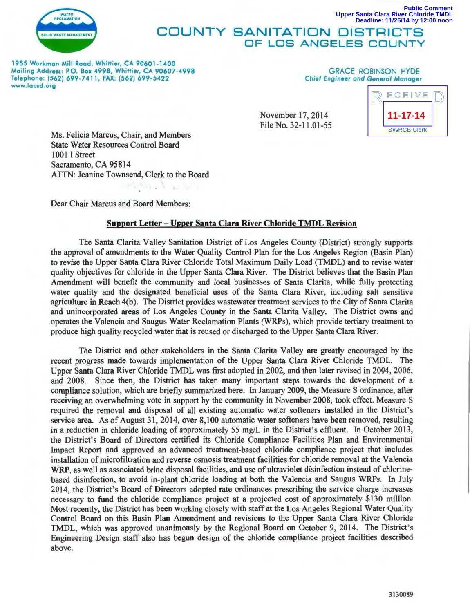

## **COUNTY SANITATION DISTRICTS OF LOS ANGELES COUNT Deadline: 11/25/14 by 12:00 noon**

1955 Workman Mill Rood, Whittier, CA 90601-1400 Mailing Address: P.O. Box 4998, Whittier, CA 90607-4998 Telephone: (562) 699-7411, FAX: (562) 699-5422 www.lacsd.org

## GRACE ROBINSON HYDE Chief Engineer and General Manager

November 17, 2014 File No. 32-11.01-55



**Upper Santa Clara River Chloride TMDL**

**Public Comment**

Ms. Felicia Marcus, Chair, and Members State Water Resources Control Board 1001 I Street Sacramento, CA 95814 ATTN: Jeanine Townsend, Clerk to the Board

Dear Chair Marcus and Board Members:

## **Support Letter- Upper Santa Clara River Chloride TMDL Revision**

The Santa Clarita Valley Sanitation District of Los Angeles County (District) strongly supports the approval of amendments to the Water Quality Control Plan for the Los Angeles Region (Basin Plan) to revise the Upper Santa Clara River Chloride Total Maximum Daily Load (TMDL) and to revise water quality objectives for chloride in the Upper Santa Clara River. The District believes that the Basin Plan Amendment will benefit the community and local businesses of Santa Clarita, while fully protecting water quality and the designated beneficial uses of the Santa Clara River, including salt sensitive agriculture in Reach 4(b). The District provides wastewater treatment services to the City of Santa Clarita and unincorporated areas of Los Angeles County in the Santa Clarita Valley. The District owns and operates the Valencia and Saugus Water Reclamation Plants (WRPs), which provide tertiary treatment to produce high quality recycled water that is reused or discharged to the Upper Santa Clara River.

The District and other stakeholders in the Santa Clarita Valley are greatly encouraged by the recent progress made towards implementation of the Upper Santa Clara River Chloride TMDL. The Upper Santa Clara River Chloride TMDL was first adopted in 2002, and then later revised in 2004, 2006, and 2008. Since then, the District has taken many important steps towards the development of a compliance solution, which are briefly summarized here. In January 2009, the Measure S ordinance, after receiving an overwhelming vote in support by the community in November 2008, took effect. Measure S required the removal and disposal of all existing automatic water softeners installed in the District's service area. As of August 31, 2014, over 8,100 automatic water softeners have been removed, resulting in a reduction in chloride loading of approximately 55 mg/L in the District's effluent. In October 2013, the District's Board of Directors certified its Chloride Compliance Facilities Plan and Environmental Impact Report and approved an advanced treatment-based chloride compliance project that includes installation of microfiltration and reverse osmosis treatment facilities for chloride removal at the Valencia WRP, as well as associated brine disposal facilities, and use of ultraviolet disinfection instead of chlorinebased disinfection, to avoid in-plant chloride loading at both the Valencia and Saugus WRPs. In July 2014, the District's Board of Directors adopted rate ordinances prescribing the service charge increases necessary to fund the chloride compliance project at a projected cost of approximately \$130 million. Most recently, the District has been working closely with staff at the Los Angeles Regional Water Quality Control Board on this Basin Plan Amendment and revisions to the Upper Santa Clara River Chloride TMDL, which was approved unanimously by the Regional Board on October 9, 2014. The District's Engineering Design staff also has begun design of the chloride compliance project facilities described above.